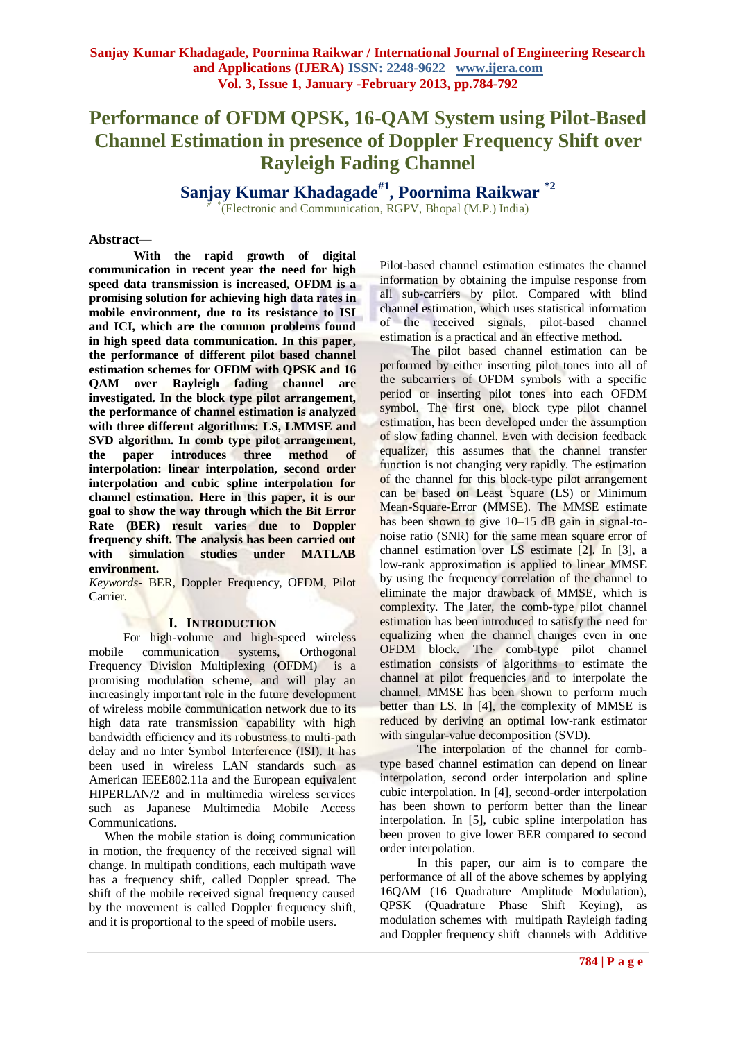# **Performance of OFDM QPSK, 16-QAM System using Pilot-Based Channel Estimation in presence of Doppler Frequency Shift over Rayleigh Fading Channel**

**Sanjay Kumar Khadagade#1, Poornima Raikwar \*2** *# \** (Electronic and Communication*,* RGPV, Bhopal (M.P.) India)

## **Abstract***—*

**With the rapid growth of digital communication in recent year the need for high speed data transmission is increased, OFDM is a promising solution for achieving high data rates in mobile environment, due to its resistance to ISI and ICI, which are the common problems found in high speed data communication. In this paper, the performance of different pilot based channel estimation schemes for OFDM with QPSK and 16 QAM over Rayleigh fading channel are investigated. In the block type pilot arrangement, the performance of channel estimation is analyzed with three different algorithms: LS, LMMSE and SVD algorithm. In comb type pilot arrangement, the paper introduces three method of interpolation: linear interpolation, second order interpolation and cubic spline interpolation for channel estimation. Here in this paper, it is our goal to show the way through which the Bit Error Rate (BER) result varies due to Doppler frequency shift. The analysis has been carried out with simulation studies under MATLAB environment.**

*Keywords***-** BER, Doppler Frequency, OFDM, Pilot Carrier.

## **I. INTRODUCTION**

 For high-volume and high-speed wireless mobile communication systems, Orthogonal Frequency Division Multiplexing (OFDM) is a promising modulation scheme, and will play an increasingly important role in the future development of wireless mobile communication network due to its high data rate transmission capability with high bandwidth efficiency and its robustness to multi-path delay and no Inter Symbol Interference (ISI). It has been used in wireless LAN standards such as American IEEE802.11a and the European equivalent HIPERLAN/2 and in multimedia wireless services such as Japanese Multimedia Mobile Access Communications.

 When the mobile station is doing communication in motion, the frequency of the received signal will change. In multipath conditions, each multipath wave has a frequency shift, called Doppler spread. The shift of the mobile received signal frequency caused by the movement is called Doppler frequency shift, and it is proportional to the speed of mobile users.

Pilot-based channel estimation estimates the channel information by obtaining the impulse response from all sub-carriers by pilot. Compared with blind channel estimation, which uses statistical information of the received signals, pilot-based channel estimation is a practical and an effective method.

 The pilot based channel estimation can be performed by either inserting pilot tones into all of the subcarriers of OFDM symbols with a specific period or inserting pilot tones into each OFDM symbol. The first one, block type pilot channel estimation, has been developed under the assumption of slow fading channel. Even with decision feedback equalizer, this assumes that the channel transfer function is not changing very rapidly. The estimation of the channel for this block-type pilot arrangement can be based on Least Square (LS) or Minimum Mean-Square-Error (MMSE). The MMSE estimate has been shown to give 10–15 dB gain in signal-tonoise ratio (SNR) for the same mean square error of channel estimation over LS estimate [2]. In [3], a low-rank approximation is applied to linear MMSE by using the frequency correlation of the channel to eliminate the major drawback of MMSE, which is complexity. The later, the comb-type pilot channel estimation has been introduced to satisfy the need for equalizing when the channel changes even in one OFDM block. The comb-type pilot channel estimation consists of algorithms to estimate the channel at pilot frequencies and to interpolate the channel. MMSE has been shown to perform much better than LS. In [4], the complexity of MMSE is reduced by deriving an optimal low-rank estimator with singular-value decomposition (SVD).

 The interpolation of the channel for combtype based channel estimation can depend on linear interpolation, second order interpolation and spline cubic interpolation. In [4], second-order interpolation has been shown to perform better than the linear interpolation. In [5], cubic spline interpolation has been proven to give lower BER compared to second order interpolation.

 In this paper, our aim is to compare the performance of all of the above schemes by applying 16QAM (16 Quadrature Amplitude Modulation), QPSK (Quadrature Phase Shift Keying), as modulation schemes with multipath Rayleigh fading and Doppler frequency shift channels with Additive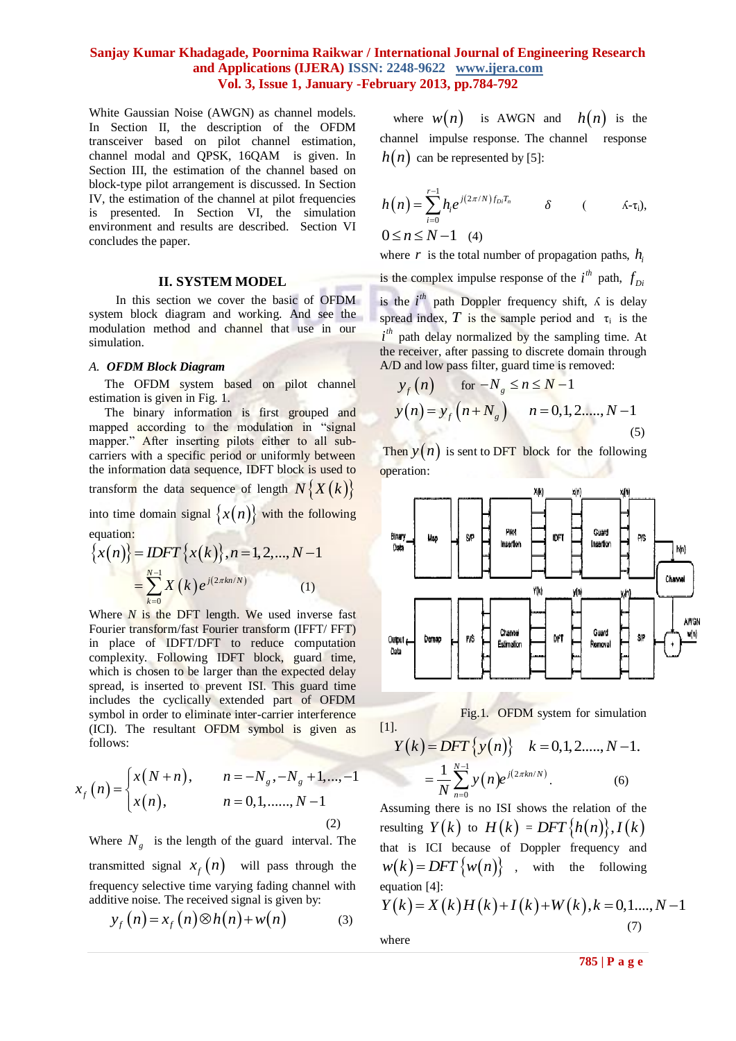White Gaussian Noise (AWGN) as channel models. In Section II, the description of the OFDM transceiver based on pilot channel estimation, channel modal and QPSK, 16QAM is given. In Section III, the estimation of the channel based on block-type pilot arrangement is discussed. In Section IV, the estimation of the channel at pilot frequencies is presented. In Section VI, the simulation environment and results are described. Section VI concludes the paper.

### **II. SYSTEM MODEL**

In this section we cover the basic of OFDM system block diagram and working. And see the modulation method and channel that use in our simulation.

#### *A. OFDM Block Diagram*

 The OFDM system based on pilot channel estimation is given in Fig. 1.

The binary information is first grouped and mapped according to the modulation in "signal mapper." After inserting pilots either to all subcarriers with a specific period or uniformly between the information data sequence, IDFT block is used to transform the data sequence of length  $N\{X(k)\}\$ 

into time domain signal  $\{x(n)\}\$  with the following equation:

equation:  
\n
$$
\{x(n)\} = IDFT\{x(k)\}, n = 1, 2, ..., N-1
$$
\n
$$
= \sum_{k=0}^{N-1} X(k) e^{j(2\pi kn/N)}
$$
\n(1)

Where  $N$  is the DFT length. We used inverse fast Fourier transform/fast Fourier transform (IFFT/ FFT) in place of IDFT/DFT to reduce computation complexity. Following IDFT block, guard time, which is chosen to be larger than the expected delay spread, is inserted to prevent ISI. This guard time includes the cyclically extended part of OFDM symbol in order to eliminate inter-carrier interference (ICI). The resultant OFDM symbol is given as follows:

$$
x_f(n) = \begin{cases} x(N+n), & n = -N_g, -N_g + 1, ..., -1 \\ x(n), & n = 0, 1, ..., N-1 \\ (2) \text{ real } n \end{cases}
$$

Where  $N_g$  is the length of the guard interval. The transmitted signal  $x_f(n)$  will pass through the frequency selective time varying fading channel with

additive noise. The received signal is given by:  
\n
$$
y_f(n) = x_f(n) \otimes h(n) + w(n)
$$
\n(3)

where  $w(n)$  is AWGN and  $h(n)$  is the channel impulse response. The channel response  $h(n)$  can be represented by [5]:

$$
h(n) = \sum_{i=0}^{r-1} h_i e^{j(2\pi/N)f_{Di}T_n} \qquad \delta \qquad (\Lambda-\tau_i),
$$
  
 
$$
0 \le n \le N-1 \quad (4)
$$

where  $r$  is the total number of propagation paths,  $h_i$ is the complex impulse response of the  $i^{th}$  path,  $f_{D}$ is the  $i^{th}$  path Doppler frequency shift,  $\Lambda$  is delay spread index, T is the sample period and  $\tau_i$  is the  $i<sup>th</sup>$  path delay normalized by the sampling time. At the receiver, after passing to discrete domain through A/D and low pass filter, guard time is removed:

$$
y_f(n)
$$
 for  $-N_g \le n \le N-1$   
\n $y(n) = y_f(n+N_g)$   $n = 0,1,2,...,N-1$  (5)

Then  $y(n)$  is sent to DFT block for the following operation:





[1].  
\n
$$
Y(k) = DFT\{y(n)\} \quad k = 0, 1, 2, ..., N-1.
$$
\n
$$
= \frac{1}{N} \sum_{n=0}^{N-1} y(n) e^{j(2\pi kn/N)}.
$$
\n(6)

Assuming there is no ISI shows the relation of the resulting  $Y(k)$  to  $H(k) = DFT\{h(n)\}, I(k)$ that is ICI because of Doppler frequency and  $w(k) = DFT\{w(n)\}\)$ , with the following<br>equation [4]:<br> $Y(k) = X(k)H(k) + I(k) + W(k), k = 0,1,..., N-1$ equation [4]:

$$
Y(k) = X(k)H(k) + I(k) + W(k), k = 0, 1, ..., N - 1
$$
  
where (7)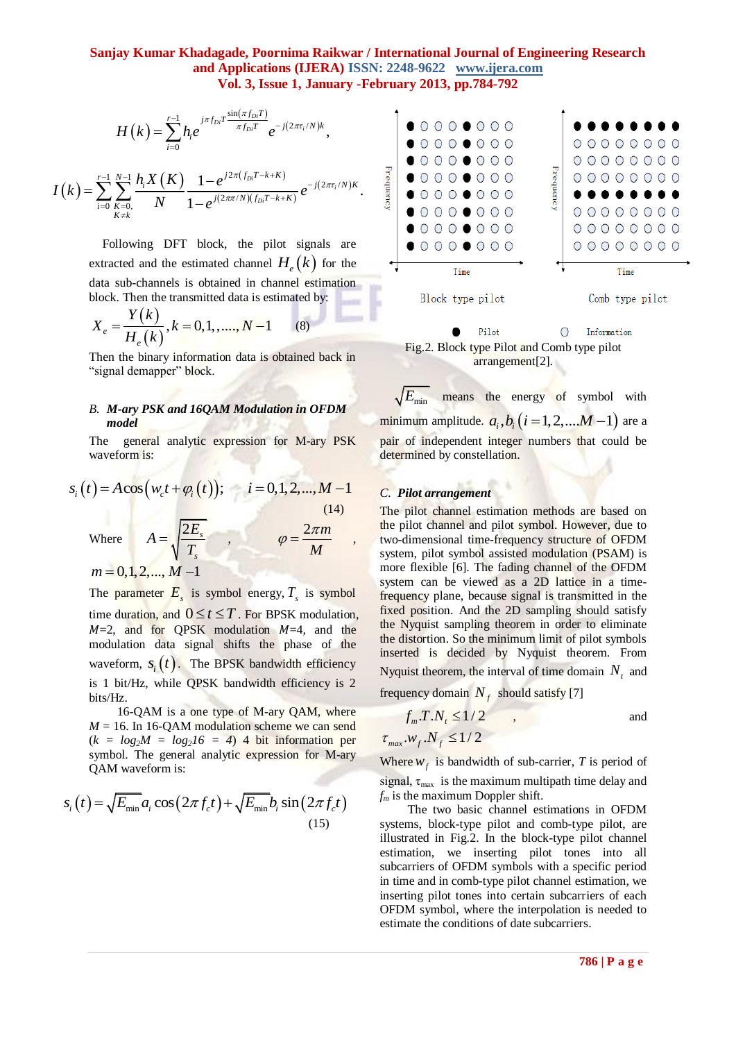$$
H(k) = \sum_{i=0}^{r-1} h_i e^{j\pi f_{Di} T \frac{\sin(\pi f_{Di} T)}{\pi f_{Di} T}} e^{-j(2\pi \tau_i/N)k},
$$

$$
I(k) = \sum_{i=0}^{r-1} \sum_{\substack{K=0,\\K\neq k}}^{N-1} \frac{h_i X(K)}{N} \frac{1 - e^{j2\pi (f_{Di}T - k + K)}}{1 - e^{j(2\pi\pi/N)(f_{Di}T - k + K)}} e^{-j(2\pi\tau_i/N)K}.
$$

Following DFT block, the pilot signals are extracted and the estimated channel  $H_e(k)$  for the data sub-channels is obtained in channel estimation

block. Then the transmitted data is estimated by:  
\n
$$
X_e = \frac{Y(k)}{H_e(k)}, k = 0, 1, \dots, N-1
$$
\n(8)

Then the binary information data is obtained back in "signal demapper" block.

## *B. M-ary PSK and 16QAM Modulation in OFDM model*

The general analytic expression for M-ary PSK waveform is:

waveform is:  
\n
$$
s_i(t) = A\cos(w_c t + \varphi_i(t)); \qquad i = 0, 1, 2, ..., M - 1
$$
\n
$$
A = \sqrt{\frac{2E_s}{T_s}}, \qquad \varphi = \frac{2\pi m}{M}, \qquad \frac{d}{dt}
$$
\nwhere\n
$$
A = \sqrt{\frac{2E_s}{T_s}}, \qquad \varphi = \frac{2\pi m}{M}, \qquad \frac{d}{dt}
$$

 $m = 0, 1, 2, ..., M - 1$ 

The parameter  $E_s$  is symbol energy,  $T_s$  is symbol time duration, and  $0 \le t \le T$ . For BPSK modulation,  $M=2$ , and for OPSK modulation  $M=4$ , and the modulation data signal shifts the phase of the waveform,  $s_i(t)$ . The BPSK bandwidth efficiency is 1 bit/Hz, while QPSK bandwidth efficiency is 2 bits/Hz.

 16-QAM is a one type of M-ary QAM, where  $M = 16$ . In 16-QAM modulation scheme we can send  $(k = log<sub>2</sub>M = log<sub>2</sub>16 = 4)$  4 bit information per symbol. The general analytic expression for M-ary QAM waveform is:

QAM waveform is:  
\n
$$
s_i(t) = \sqrt{E_{\min}} a_i \cos(2\pi f_c t) + \sqrt{E_{\min}} b_i \sin(2\pi f_c t)
$$
\n(15)



Pilot  $\circ$ Information Fig.2. Block type Pilot and Comb type pilot arrangement[2].

*E*min means the energy of symbol with minimum amplitude.  $a_i, b_i$   $(i = 1, 2, ... M - 1)$  are a pair of independent integer numbers that could be determined by constellation.

# *C. Pilot arrangement*

The pilot channel estimation methods are based on the pilot channel and pilot symbol. However, due to two-dimensional time-frequency structure of OFDM system, pilot symbol assisted modulation (PSAM) is more flexible [6]. The fading channel of the OFDM system can be viewed as a 2D lattice in a timefrequency plane, because signal is transmitted in the fixed position. And the 2D sampling should satisfy the Nyquist sampling theorem in order to eliminate the distortion. So the minimum limit of pilot symbols inserted is decided by Nyquist theorem. From Nyquist theorem, the interval of time domain  $N_t$  and

frequency domain  $N_f$  should satisfy [7]

$$
f_m.T.N_t \le 1/2 \qquad ,
$$
 and  

$$
\tau_{max}.w_f.N_f \le 1/2
$$

Where  $w_f$  is bandwidth of sub-carrier, *T* is period of signal,  $\tau_{\text{max}}$  is the maximum multipath time delay and  $f_m$  is the maximum Doppler shift.

 The two basic channel estimations in OFDM systems, block-type pilot and comb-type pilot, are illustrated in Fig.2. In the block-type pilot channel estimation, we inserting pilot tones into all subcarriers of OFDM symbols with a specific period in time and in comb-type pilot channel estimation, we inserting pilot tones into certain subcarriers of each OFDM symbol, where the interpolation is needed to estimate the conditions of date subcarriers.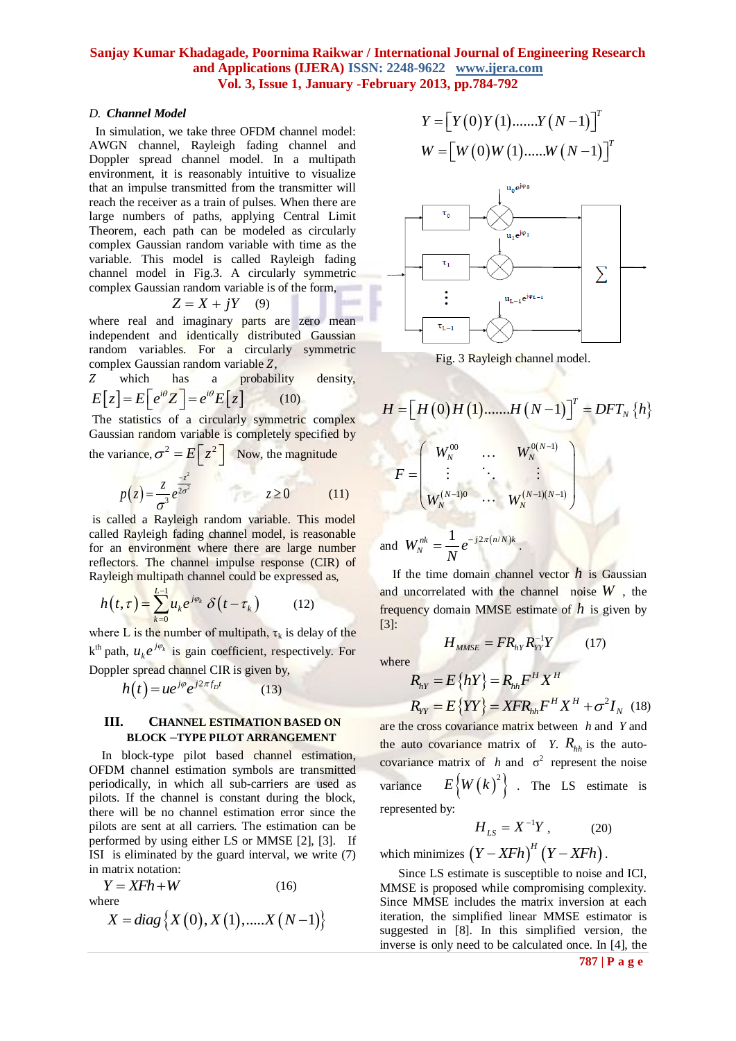## *D. Channel Model*

 In simulation, we take three OFDM channel model: AWGN channel, Rayleigh fading channel and Doppler spread channel model. In a multipath environment, it is reasonably intuitive to visualize that an impulse transmitted from the transmitter will reach the receiver as a train of pulses. When there are large numbers of paths, applying Central Limit Theorem, each path can be modeled as circularly complex Gaussian random variable with time as the variable. This model is called Rayleigh fading channel model in Fig.3. A circularly symmetric complex Gaussian random variable is of the form,

$$
Z = X + jY \quad (9)
$$

where real and imaginary parts are zero mean independent and identically distributed Gaussian random variables. For a circularly symmetric complex Gaussian random variable *Z*.

Z which has a probability density,  

$$
E[z] = E[e^{i\theta}Z] = e^{i\theta}E[z]
$$
(10)

The statistics of a circularly symmetric complex Gaussian random variable is completely specified by

the variance, 
$$
\sigma^2 = E\left[z^2\right]
$$
 Now, the magnitude  

$$
p(z) = \frac{z}{\sigma^3} e^{\frac{-z^2}{2\sigma^2}} \qquad z \ge 0 \qquad (11)
$$

is called a Rayleigh random variable. This model called Rayleigh fading channel model, is reasonable for an environment where there are large number reflectors. The channel impulse response (CIR) of Rayleigh multipath channel could be expressed as,

$$
h\left(t,\tau\right) = \sum_{k=0}^{L-1} u_k e^{j\varphi_k} \delta\left(t - \tau_k\right) \tag{12}
$$

where L is the number of multipath,  $\tau_k$  is delay of the  $k^{th}$  path,  $u_k e^{j\varphi_k}$  is gain coefficient, respectively. For Doppler spread channel CIR is given by,

$$
h(t) = ue^{j\varphi}e^{j2\pi f_D t}
$$
 (13)

## **III. CHANNEL ESTIMATION BASED ON BLOCK –TYPE PILOT ARRANGEMENT**

 In block-type pilot based channel estimation, OFDM channel estimation symbols are transmitted periodically, in which all sub-carriers are used as pilots. If the channel is constant during the block, there will be no channel estimation error since the pilots are sent at all carriers. The estimation can be performed by using either LS or MMSE [2], [3]. If ISI is eliminated by the guard interval, we write (7) in matrix notation:

$$
Y = XFh + W
$$
 (16)  
where  

$$
X = diag \{ X (0), X (1), \dots, X (N-1) \}
$$

$$
X = diag \{ X(0), X(1), \dots, X(N-1) \}
$$

$$
Y = \left[ Y(0)Y(1) \dots X(N-1) \right]^T
$$
  

$$
W = \left[ W(0)W(1) \dots W(N-1) \right]^T
$$



Fig. 3 Rayleigh channel model.

$$
H = [H(0)H(1) \dots H(N-1)]^{T} = DFT_{N} \{h\}
$$

$$
F = \begin{pmatrix} W_{N}^{00} & \ldots & W_{N}^{0(N-1)} \\ \vdots & \ddots & \vdots \\ W_{N}^{(N-1)0} & \ldots & W_{N}^{(N-1)(N-1)} \end{pmatrix}
$$

and 
$$
W_N^{nk} = \frac{1}{N} e^{-j2\pi (n/N)k}
$$

If the time domain channel vector  $h$  is Gaussian and uncorrelated with the channel noise *W* , the frequency domain MMSE estimate of *h* is given by [3]:

where

$$
R_{hY} = E\{hY\} = R_{hh}F^H X^H
$$
  

$$
R_{YY} = E\{YY\} = XFR_{hh}F^H X^H + \sigma^2 I_N
$$
 (18)

 $H_{MMSE} = FR_{hY}R_{YY}^{-1}Y$  (17)

are the cross covariance matrix between *h* and *Y* and the auto covariance matrix of *Y*.  $R_{hh}$  is the autocovariance matrix of *h* and  $\sigma^2$  represent the noise variance  $E\left\{W(k)^2\right\}$  . The LS estimate is represented by:

$$
H_{LS} = X^{-1}Y, \qquad (20)
$$

which minimizes  $(Y - XFh)^{H} (Y - XFh)$ .

 Since LS estimate is susceptible to noise and ICI, MMSE is proposed while compromising complexity. Since MMSE includes the matrix inversion at each iteration, the simplified linear MMSE estimator is suggested in [8]. In this simplified version, the inverse is only need to be calculated once. In [4], the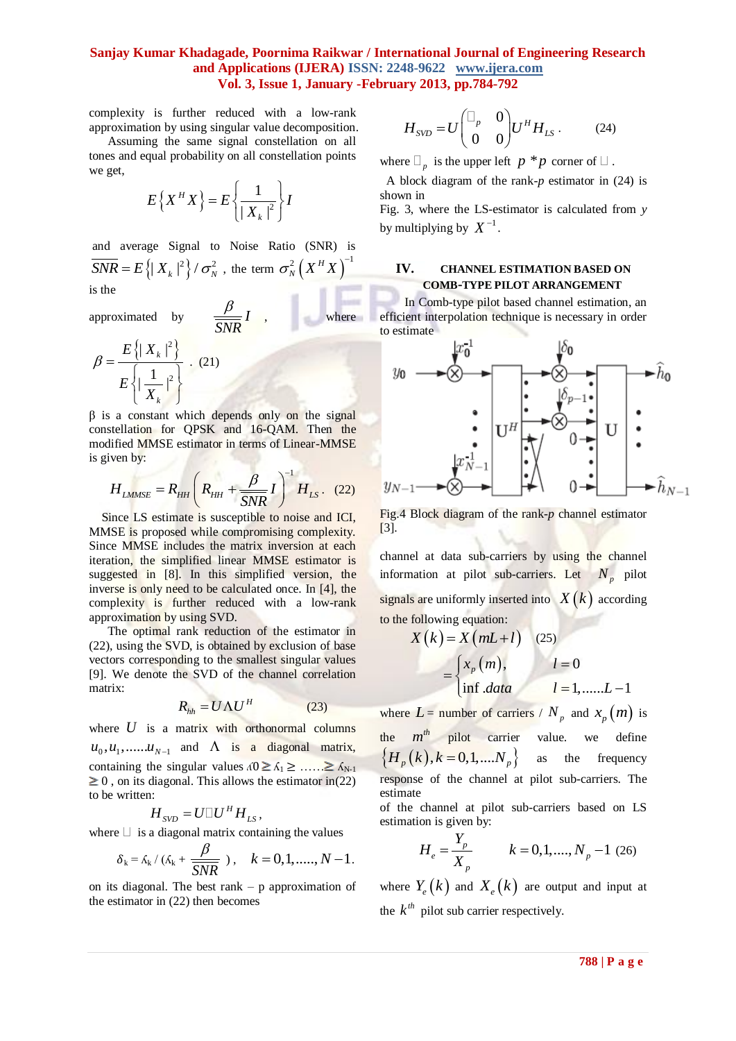complexity is further reduced with a low-rank approximation by using singular value decomposition.

 Assuming the same signal constellation on all tones and equal probability on all constellation points we get,

$$
E\left\{X^H X\right\} = E\left\{\frac{1}{|X_k|^2}\right\} I
$$

and average Signal to Noise Ratio (SNR) is  $\overline{SNR} = E\left\{ |X_k|^2 \right\} / \sigma_N^2$ , the term  $\sigma_N^2\left(X^H X\right)^2$ 1 is the

approximated by  $\frac{P}{\sqrt{I}}$ *SNR*  $\beta$ where

$$
\beta = \frac{E\left\{ |X_k|^2 \right\}}{E\left\{ \left| \frac{1}{|X_k|^2} \right\}} \quad (21)
$$

 $β$  is a constant which depends only on the signal constellation for QPSK and 16-QAM. Then the modified MMSE estimator in terms of Linear-MMSE is given by:

ven by:  

$$
H_{LMMSE} = R_{HH} \left( R_{HH} + \frac{\beta}{SNR} I \right)^{-1} H_{LS}. (22)
$$

 Since LS estimate is susceptible to noise and ICI, MMSE is proposed while compromising complexity. Since MMSE includes the matrix inversion at each iteration, the simplified linear MMSE estimator is suggested in [8]. In this simplified version, the inverse is only need to be calculated once. In [4], the complexity is further reduced with a low-rank approximation by using SVD.

 The optimal rank reduction of the estimator in (22), using the SVD, is obtained by exclusion of base vectors corresponding to the smallest singular values [9]. We denote the SVD of the channel correlation matrix:

$$
R_{hh} = U \Lambda U^H \tag{23}
$$

where  $U$  is a matrix with orthonormal columns  $u_0, u_1, \dots, u_{N-1}$  and  $\Lambda$  is a diagonal matrix, containing the singular values  $\Lambda_0 \geq \Lambda_1 > \ldots \geq \Lambda_{N-1}$  $\geq 0$ , on its diagonal. This allows the estimator in(22) to be written:

$$
H_{SVD} = U \Box U^H H_{LS},
$$

where  $\Box$  is a diagonal matrix containing the values

$$
\delta_k = \delta_k / (\delta_k + \frac{\beta}{SNR})
$$
,  $k = 0, 1, \dots, N-1$ .

on its diagonal. The best rank – p approximation of the estimator in (22) then becomes

$$
H_{SVD} = U \begin{pmatrix} \Box_p & 0 \\ 0 & 0 \end{pmatrix} U^H H_{LS} . \qquad (24)
$$

where  $\Box_p$  is the upper left  $p * p$  corner of  $\Box$ .

 A block diagram of the rank-*p* estimator in (24) is shown in

Fig. 3, where the LS-estimator is calculated from *y* by multiplying by  $X^{-1}$ .

## **IV. CHANNEL ESTIMATION BASED ON COMB-TYPE PILOT ARRANGEMENT**

 In Comb-type pilot based channel estimation, an efficient interpolation technique is necessary in order to estimate



Fig.4 Block diagram of the rank-*p* channel estimator [3].

channel at data sub-carriers by using the channel information at pilot sub-carriers. Let  $N_p$  pilot signals are uniformly inserted into  $X(k)$  according to the following equation:

$$
X(k) = X(mL+l) \quad (25)
$$

$$
= \begin{cases} x_p(m), & l=0\\ \inf.data & l=1,......L-1 \end{cases}
$$

where  $L =$  number of carriers /  $N_p$  and  $x_p(m)$  is the  $m<sup>th</sup>$  pilot carrier value. we define  ${H_n (k), k = 0,1,...N_n}$ as the frequency response of the channel at pilot sub-carriers. The estimate of the channel at pilot sub-carriers based on LS

estimation is given by:

$$
H_e = \frac{Y_p}{X_p} \qquad k = 0, 1, \dots, N_p - 1 \text{ (26)}
$$

where  $Y_e(k)$  and  $X_e(k)$  are output and input at the  $k^{th}$  pilot sub carrier respectively.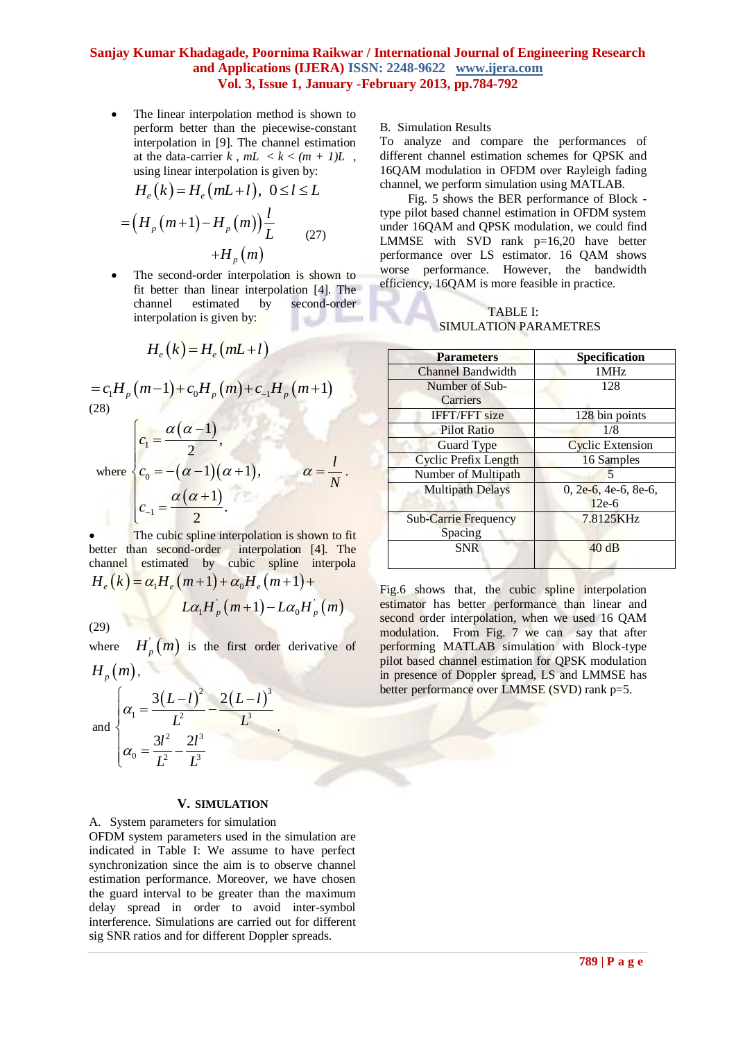The linear interpolation method is shown to perform better than the piecewise-constant interpolation in [9]. The channel estimation at the data-carrier  $k$ ,  $mL < k < (m + 1)L$ , using linear interpolation is given by: using linear interpolation is given by:<br> $H_e(k) = H_e(mL+l), 0 \le l \le L$ 

$$
H_e(K) = H_e(mL + t), \ 0 \le t \le L
$$
  
=  $(H_p(m+1) - H_p(m)) \frac{l}{L}$  (27)  
+ $H_p(m)$ 

 The second-order interpolation is shown to fit better than linear interpolation [4]. The channel estimated by second-order interpolation is given by:

$$
H_e(k) = H_e(mL+l)
$$

$$
=c_{1}H_{p}(m-1)+c_{0}H_{p}(m)+c_{-1}H_{p}(m+1)
$$
\n(28)

where 
$$
\begin{cases}\nc_1 = \frac{\alpha(\alpha - 1)}{2}, \\
c_0 = -(\alpha - 1)(\alpha + 1), \\
c_{-1} = \frac{\alpha(\alpha + 1)}{2}.\n\end{cases}\n\alpha = \frac{l}{N}.
$$

 The cubic spline interpolation is shown to fit better than second-order interpolation [4]. The channel estimated by cubic spline interpola thannel estimated by cubic spline interpolation [4]. The channel estimated by cubic spline interpolation  $H_e(k) = \alpha_1 H_e(m+1) + \alpha_0 H_e(m+1) +$  $\int_{R_p}^{R} (m+1) - L\alpha_0 H_p(m)$  $(m+1) + \alpha_0 H_e (m+1) +$ <br> $L \alpha_1 H_p (m+1) - L \alpha_0 H_p (m)$ 

(29)

where  $H_p(m)$  is the first order derivative of

.

$$
H_p(m)
$$
,  
and 
$$
\begin{cases} \alpha_1 = \frac{3(L-l)^2}{L^2} - \frac{2(L-l)^3}{L^3} \\ \alpha_2 = 3l^2 \cdot 2l^3 \end{cases}
$$

 $\overline{\mathcal{L}}$ 

$$
\alpha_0 = \frac{3l^2}{L^2} - \frac{2l^3}{L^3}
$$

## **V. SIMULATION**

#### A. System parameters for simulation

OFDM system parameters used in the simulation are indicated in Table I: We assume to have perfect synchronization since the aim is to observe channel estimation performance. Moreover, we have chosen the guard interval to be greater than the maximum delay spread in order to avoid inter-symbol interference. Simulations are carried out for different sig SNR ratios and for different Doppler spreads.

B. Simulation Results

To analyze and compare the performances of different channel estimation schemes for QPSK and 16QAM modulation in OFDM over Rayleigh fading channel, we perform simulation using MATLAB.

 Fig. 5 shows the BER performance of Block type pilot based channel estimation in OFDM system under 16QAM and QPSK modulation, we could find LMMSE with SVD rank p=16,20 have better performance over LS estimator. 16 QAM shows worse performance. However, the bandwidth efficiency, 16QAM is more feasible in practice.

TABLE I: SIMULATION PARAMETRES

| <b>Parameters</b>           | Specification           |
|-----------------------------|-------------------------|
| <b>Channel Bandwidth</b>    | 1MHz                    |
| Number of Sub-              | 128                     |
| Carriers                    |                         |
| <b>IFFT/FFT</b> size        | 128 bin points          |
| <b>Pilot Ratio</b>          | 1/8                     |
| Guard Type                  | <b>Cyclic Extension</b> |
| Cyclic Prefix Length        | 16 Samples              |
| Number of Multipath         | 5                       |
| <b>Multipath Delays</b>     | $0, 2e-6, 4e-6, 8e-6,$  |
|                             | $12e-6$                 |
| <b>Sub-Carrie Frequency</b> | 7.8125KHz               |
| Spacing                     |                         |
| <b>SNR</b>                  | 40dB                    |
|                             |                         |

Fig.6 shows that, the cubic spline interpolation estimator has better performance than linear and second order interpolation, when we used 16 QAM modulation. From Fig. 7 we can say that after performing MATLAB simulation with Block-type pilot based channel estimation for QPSK modulation in presence of Doppler spread, LS and LMMSE has better performance over LMMSE (SVD) rank p=5.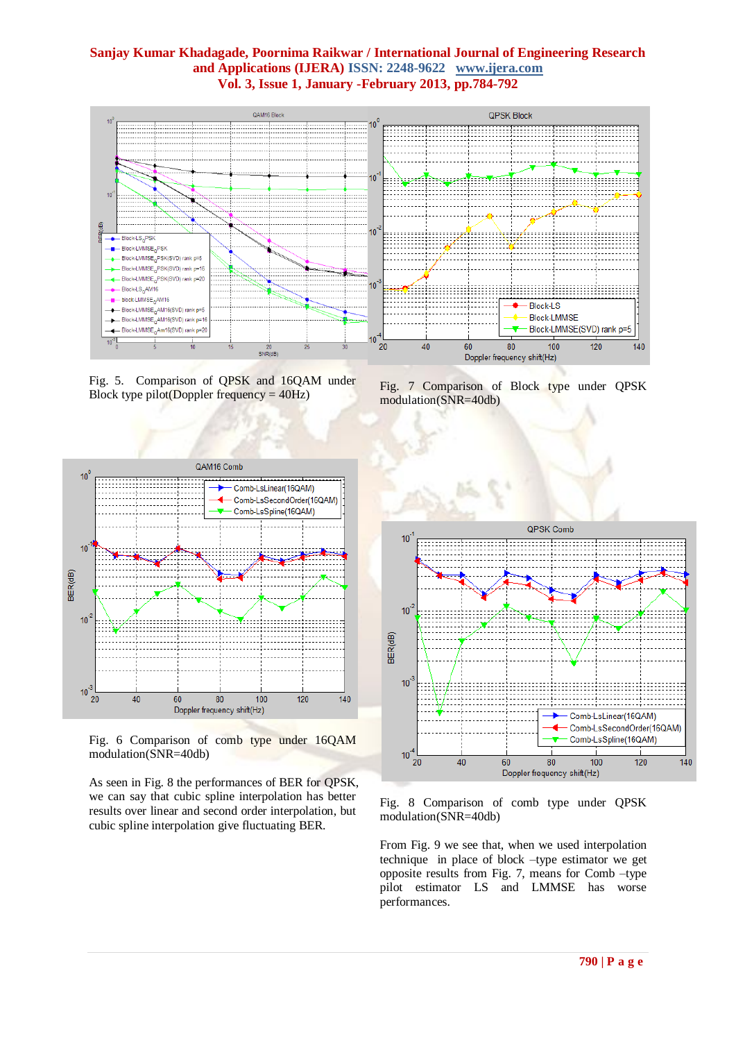

Fig. 5. Comparison of QPSK and 16QAM under Block type pilot(Doppler frequency  $= 40$ Hz)

Fig. 7 Comparison of Block type under QPSK modulation(SNR=40db)



Fig. 6 Comparison of comb type under 16QAM modulation(SNR=40db)

As seen in Fig. 8 the performances of BER for QPSK, we can say that cubic spline interpolation has better results over linear and second order interpolation, but cubic spline interpolation give fluctuating BER.



Fig. 8 Comparison of comb type under QPSK modulation(SNR=40db)

From Fig. 9 we see that, when we used interpolation technique in place of block –type estimator we get opposite results from Fig. 7, means for Comb –type pilot estimator LS and LMMSE has worse performances.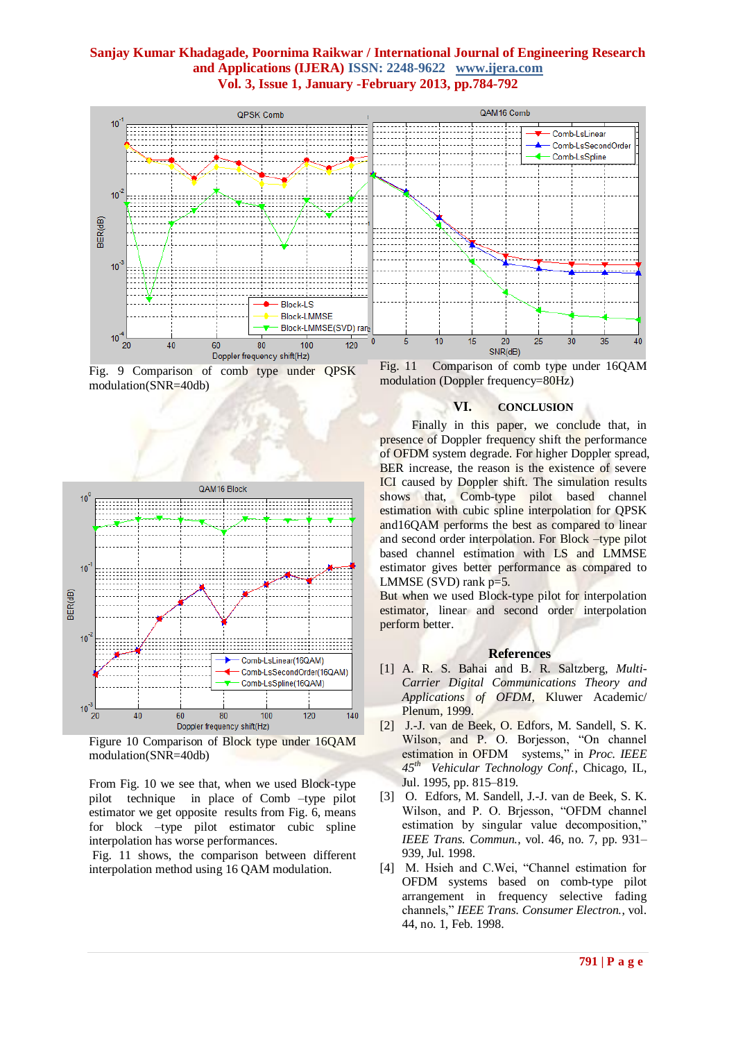

Fig. 9 Comparison of comb type under QPSK modulation(SNR=40db)



Figure 10 Comparison of Block type under 16QAM modulation(SNR=40db)

From Fig. 10 we see that, when we used Block-type pilot technique in place of Comb –type pilot estimator we get opposite results from Fig. 6, means for block –type pilot estimator cubic spline interpolation has worse performances.

Fig. 11 shows, the comparison between different interpolation method using 16 QAM modulation.

Fig. 11 Comparison of comb type under 16QAM modulation (Doppler frequency=80Hz)

## **VI. CONCLUSION**

Finally in this paper, we conclude that, in presence of Doppler frequency shift the performance of OFDM system degrade. For higher Doppler spread, BER increase, the reason is the existence of severe ICI caused by Doppler shift. The simulation results shows that, Comb-type pilot based channel estimation with cubic spline interpolation for QPSK and16QAM performs the best as compared to linear and second order interpolation. For Block –type pilot based channel estimation with LS and LMMSE estimator gives better performance as compared to LMMSE  $(SVD)$  rank  $p=5$ .

But when we used Block-type pilot for interpolation estimator, linear and second order interpolation perform better.

#### **References**

- [1] A. R. S. Bahai and B. R. Saltzberg, *Multi-Carrier Digital Communications Theory and Applications of OFDM*, Kluwer Academic/ Plenum, 1999.
- [2] J.-J. van de Beek, O. Edfors, M. Sandell, S. K. Wilson, and P. O. Borjesson, "On channel estimation in OFDM systems," in *Proc. IEEE 45th Vehicular Technology Conf.*, Chicago, IL, Jul. 1995, pp. 815–819.
- [3] O. Edfors, M. Sandell, J.-J. van de Beek, S. K. Wilson, and P. O. Brjesson, "OFDM channel estimation by singular value decomposition," *IEEE Trans. Commun.*, vol. 46, no. 7, pp. 931– 939, Jul. 1998.
- [4] M. Hsieh and C.Wei, "Channel estimation for OFDM systems based on comb-type pilot arrangement in frequency selective fading channels," *IEEE Trans. Consumer Electron.*, vol. 44, no. 1, Feb. 1998.